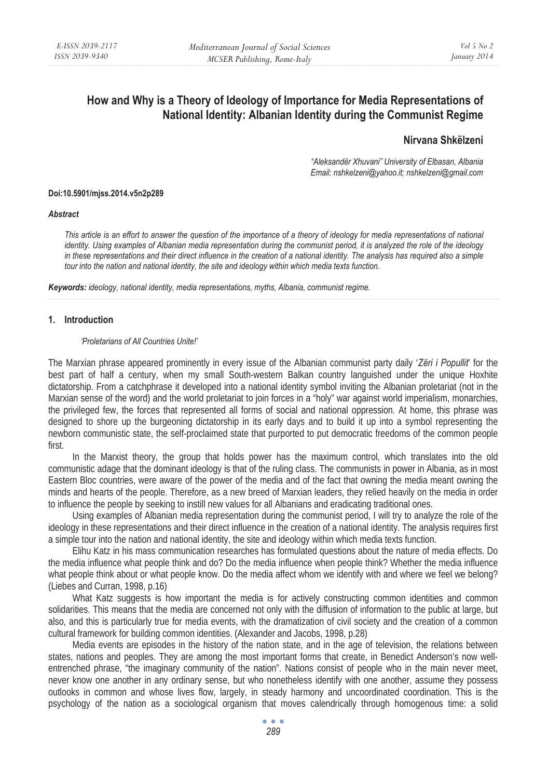# **How and Why is a Theory of Ideology of Importance for Media Representations of National Identity: Albanian Identity during the Communist Regime**

# **Nirvana Shkëlzeni**

*"Aleksandër Xhuvani" University of Elbasan, Albania Email: nshkelzeni@yahoo.it; nshkelzeni@gmail.com* 

#### **Doi:10.5901/mjss.2014.v5n2p289**

#### *Abstract*

*This article is an effort to answer the question of the importance of a theory of ideology for media representations of national identity. Using examples of Albanian media representation during the communist period, it is analyzed the role of the ideology in these representations and their direct influence in the creation of a national identity. The analysis has required also a simple tour into the nation and national identity, the site and ideology within which media texts function.* 

*Keywords: ideology, national identity, media representations, myths, Albania, communist regime.* 

### **1. Introduction**

#### *'Proletarians of All Countries Unite!'*

The Marxian phrase appeared prominently in every issue of the Albanian communist party daily '*Zëri i Popullit*' for the best part of half a century, when my small South-western Balkan country languished under the unique Hoxhite dictatorship. From a catchphrase it developed into a national identity symbol inviting the Albanian proletariat (not in the Marxian sense of the word) and the world proletariat to join forces in a "holy" war against world imperialism, monarchies, the privileged few, the forces that represented all forms of social and national oppression. At home, this phrase was designed to shore up the burgeoning dictatorship in its early days and to build it up into a symbol representing the newborn communistic state, the self-proclaimed state that purported to put democratic freedoms of the common people first.

In the Marxist theory, the group that holds power has the maximum control, which translates into the old communistic adage that the dominant ideology is that of the ruling class. The communists in power in Albania, as in most Eastern Bloc countries, were aware of the power of the media and of the fact that owning the media meant owning the minds and hearts of the people. Therefore, as a new breed of Marxian leaders, they relied heavily on the media in order to influence the people by seeking to instill new values for all Albanians and eradicating traditional ones.

Using examples of Albanian media representation during the communist period, I will try to analyze the role of the ideology in these representations and their direct influence in the creation of a national identity. The analysis requires first a simple tour into the nation and national identity, the site and ideology within which media texts function.

Elihu Katz in his mass communication researches has formulated questions about the nature of media effects. Do the media influence what people think and do? Do the media influence when people think? Whether the media influence what people think about or what people know. Do the media affect whom we identify with and where we feel we belong? (Liebes and Curran, 1998, p.16)

What Katz suggests is how important the media is for actively constructing common identities and common solidarities. This means that the media are concerned not only with the diffusion of information to the public at large, but also, and this is particularly true for media events, with the dramatization of civil society and the creation of a common cultural framework for building common identities. (Alexander and Jacobs, 1998, p.28)

Media events are episodes in the history of the nation state, and in the age of television, the relations between states, nations and peoples. They are among the most important forms that create, in Benedict Anderson's now wellentrenched phrase, "the imaginary community of the nation". Nations consist of people who in the main never meet, never know one another in any ordinary sense, but who nonetheless identify with one another, assume they possess outlooks in common and whose lives flow, largely, in steady harmony and uncoordinated coordination. This is the psychology of the nation as a sociological organism that moves calendrically through homogenous time: a solid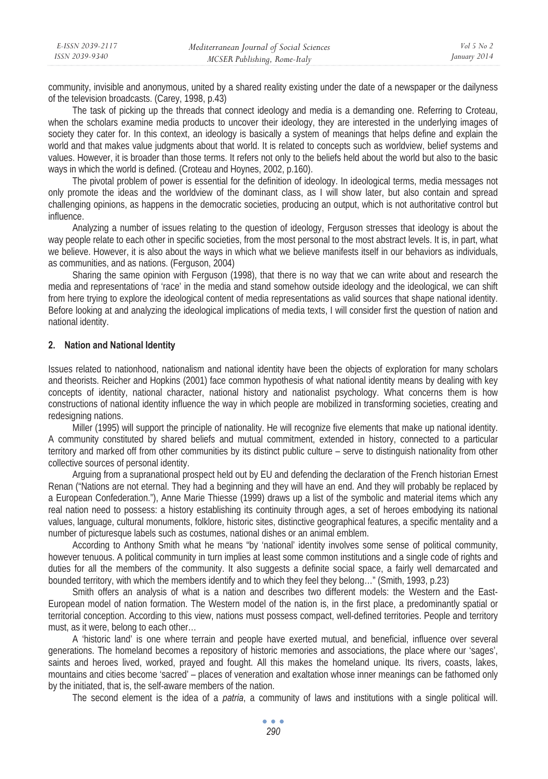community, invisible and anonymous, united by a shared reality existing under the date of a newspaper or the dailyness of the television broadcasts. (Carey, 1998, p.43)

The task of picking up the threads that connect ideology and media is a demanding one. Referring to Croteau, when the scholars examine media products to uncover their ideology, they are interested in the underlying images of society they cater for. In this context, an ideology is basically a system of meanings that helps define and explain the world and that makes value judgments about that world. It is related to concepts such as worldview, belief systems and values. However, it is broader than those terms. It refers not only to the beliefs held about the world but also to the basic ways in which the world is defined. (Croteau and Hoynes, 2002, p.160).

The pivotal problem of power is essential for the definition of ideology. In ideological terms, media messages not only promote the ideas and the worldview of the dominant class, as I will show later, but also contain and spread challenging opinions, as happens in the democratic societies, producing an output, which is not authoritative control but influence.

Analyzing a number of issues relating to the question of ideology, Ferguson stresses that ideology is about the way people relate to each other in specific societies, from the most personal to the most abstract levels. It is, in part, what we believe. However, it is also about the ways in which what we believe manifests itself in our behaviors as individuals, as communities, and as nations. (Ferguson, 2004)

Sharing the same opinion with Ferguson (1998), that there is no way that we can write about and research the media and representations of 'race' in the media and stand somehow outside ideology and the ideological, we can shift from here trying to explore the ideological content of media representations as valid sources that shape national identity. Before looking at and analyzing the ideological implications of media texts, I will consider first the question of nation and national identity.

# **2. Nation and National Identity**

Issues related to nationhood, nationalism and national identity have been the objects of exploration for many scholars and theorists. Reicher and Hopkins (2001) face common hypothesis of what national identity means by dealing with key concepts of identity, national character, national history and nationalist psychology. What concerns them is how constructions of national identity influence the way in which people are mobilized in transforming societies, creating and redesigning nations.

Miller (1995) will support the principle of nationality. He will recognize five elements that make up national identity. A community constituted by shared beliefs and mutual commitment, extended in history, connected to a particular territory and marked off from other communities by its distinct public culture – serve to distinguish nationality from other collective sources of personal identity.

Arguing from a supranational prospect held out by EU and defending the declaration of the French historian Ernest Renan ("Nations are not eternal. They had a beginning and they will have an end. And they will probably be replaced by a European Confederation."), Anne Marie Thiesse (1999) draws up a list of the symbolic and material items which any real nation need to possess: a history establishing its continuity through ages, a set of heroes embodying its national values, language, cultural monuments, folklore, historic sites, distinctive geographical features, a specific mentality and a number of picturesque labels such as costumes, national dishes or an animal emblem.

According to Anthony Smith what he means "by 'national' identity involves some sense of political community, however tenuous. A political community in turn implies at least some common institutions and a single code of rights and duties for all the members of the community. It also suggests a definite social space, a fairly well demarcated and bounded territory, with which the members identify and to which they feel they belong…" (Smith, 1993, p.23)

Smith offers an analysis of what is a nation and describes two different models: the Western and the East-European model of nation formation. The Western model of the nation is, in the first place, a predominantly spatial or territorial conception. According to this view, nations must possess compact, well-defined territories. People and territory must, as it were, belong to each other…

A 'historic land' is one where terrain and people have exerted mutual, and beneficial, influence over several generations. The homeland becomes a repository of historic memories and associations, the place where our 'sages', saints and heroes lived, worked, prayed and fought. All this makes the homeland unique. Its rivers, coasts, lakes, mountains and cities become 'sacred' – places of veneration and exaltation whose inner meanings can be fathomed only by the initiated, that is, the self-aware members of the nation.

The second element is the idea of a *patria*, a community of laws and institutions with a single political will.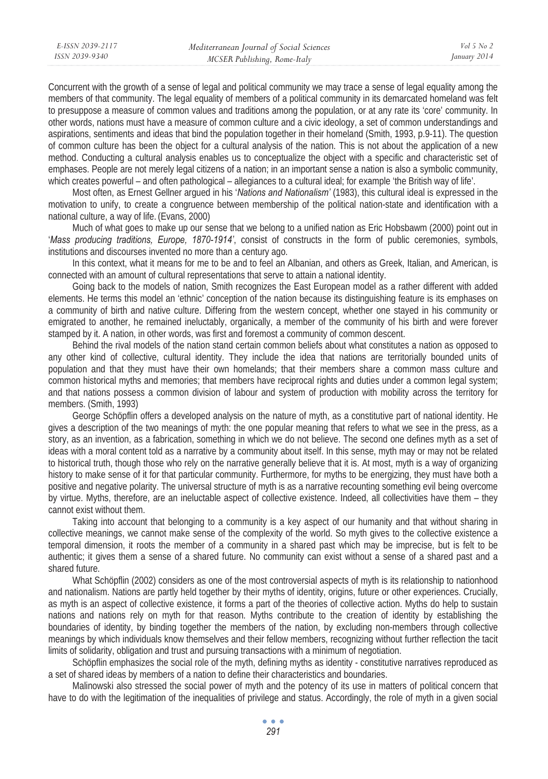Concurrent with the growth of a sense of legal and political community we may trace a sense of legal equality among the members of that community. The legal equality of members of a political community in its demarcated homeland was felt to presuppose a measure of common values and traditions among the population, or at any rate its 'core' community. In other words, nations must have a measure of common culture and a civic ideology, a set of common understandings and aspirations, sentiments and ideas that bind the population together in their homeland (Smith, 1993, p.9-11). The question of common culture has been the object for a cultural analysis of the nation. This is not about the application of a new method. Conducting a cultural analysis enables us to conceptualize the object with a specific and characteristic set of emphases. People are not merely legal citizens of a nation; in an important sense a nation is also a symbolic community, which creates powerful – and often pathological – allegiances to a cultural ideal; for example 'the British way of life'.

Most often, as Ernest Gellner argued in his '*Nations and Nationalism'* (1983), this cultural ideal is expressed in the motivation to unify, to create a congruence between membership of the political nation-state and identification with a national culture, a way of life. (Evans, 2000)

Much of what goes to make up our sense that we belong to a unified nation as Eric Hobsbawm (2000) point out in '*Mass producing traditions, Europe, 1870-1914'*, consist of constructs in the form of public ceremonies, symbols, institutions and discourses invented no more than a century ago.

In this context, what it means for me to be and to feel an Albanian, and others as Greek, Italian, and American, is connected with an amount of cultural representations that serve to attain a national identity.

Going back to the models of nation, Smith recognizes the East European model as a rather different with added elements. He terms this model an 'ethnic' conception of the nation because its distinguishing feature is its emphases on a community of birth and native culture. Differing from the western concept, whether one stayed in his community or emigrated to another, he remained ineluctably, organically, a member of the community of his birth and were forever stamped by it. A nation, in other words, was first and foremost a community of common descent.

Behind the rival models of the nation stand certain common beliefs about what constitutes a nation as opposed to any other kind of collective, cultural identity. They include the idea that nations are territorially bounded units of population and that they must have their own homelands; that their members share a common mass culture and common historical myths and memories; that members have reciprocal rights and duties under a common legal system; and that nations possess a common division of labour and system of production with mobility across the territory for members. (Smith, 1993)

George Schöpflin offers a developed analysis on the nature of myth, as a constitutive part of national identity. He gives a description of the two meanings of myth: the one popular meaning that refers to what we see in the press, as a story, as an invention, as a fabrication, something in which we do not believe. The second one defines myth as a set of ideas with a moral content told as a narrative by a community about itself. In this sense, myth may or may not be related to historical truth, though those who rely on the narrative generally believe that it is. At most, myth is a way of organizing history to make sense of it for that particular community. Furthermore, for myths to be energizing, they must have both a positive and negative polarity. The universal structure of myth is as a narrative recounting something evil being overcome by virtue. Myths, therefore, are an ineluctable aspect of collective existence. Indeed, all collectivities have them – they cannot exist without them.

Taking into account that belonging to a community is a key aspect of our humanity and that without sharing in collective meanings, we cannot make sense of the complexity of the world. So myth gives to the collective existence a temporal dimension, it roots the member of a community in a shared past which may be imprecise, but is felt to be authentic; it gives them a sense of a shared future. No community can exist without a sense of a shared past and a shared future.

What Schöpflin (2002) considers as one of the most controversial aspects of myth is its relationship to nationhood and nationalism. Nations are partly held together by their myths of identity, origins, future or other experiences. Crucially, as myth is an aspect of collective existence, it forms a part of the theories of collective action. Myths do help to sustain nations and nations rely on myth for that reason. Myths contribute to the creation of identity by establishing the boundaries of identity, by binding together the members of the nation, by excluding non-members through collective meanings by which individuals know themselves and their fellow members, recognizing without further reflection the tacit limits of solidarity, obligation and trust and pursuing transactions with a minimum of negotiation.

Schöpflin emphasizes the social role of the myth, defining myths as identity - constitutive narratives reproduced as a set of shared ideas by members of a nation to define their characteristics and boundaries.

Malinowski also stressed the social power of myth and the potency of its use in matters of political concern that have to do with the legitimation of the inequalities of privilege and status. Accordingly, the role of myth in a given social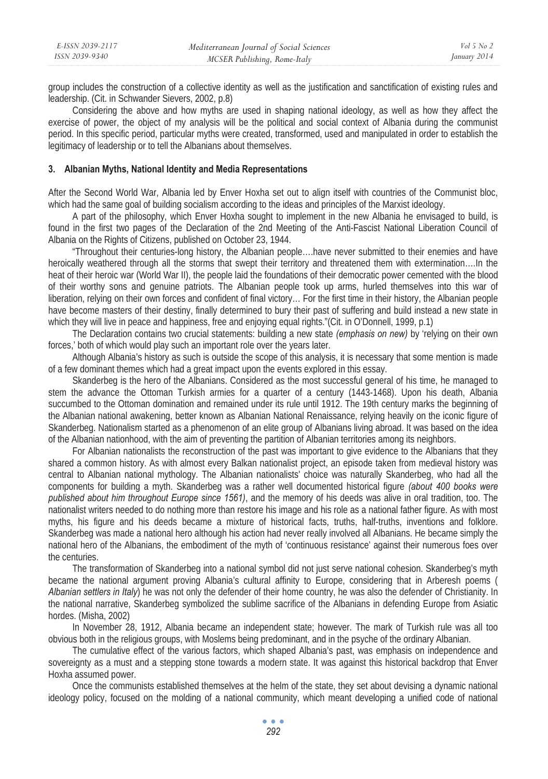group includes the construction of a collective identity as well as the justification and sanctification of existing rules and leadership. (Cit. in Schwander Sievers, 2002, p.8)

Considering the above and how myths are used in shaping national ideology, as well as how they affect the exercise of power, the object of my analysis will be the political and social context of Albania during the communist period. In this specific period, particular myths were created, transformed, used and manipulated in order to establish the legitimacy of leadership or to tell the Albanians about themselves.

## **3. Albanian Myths, National Identity and Media Representations**

After the Second World War, Albania led by Enver Hoxha set out to align itself with countries of the Communist bloc, which had the same goal of building socialism according to the ideas and principles of the Marxist ideology.

A part of the philosophy, which Enver Hoxha sought to implement in the new Albania he envisaged to build, is found in the first two pages of the Declaration of the 2nd Meeting of the Anti-Fascist National Liberation Council of Albania on the Rights of Citizens, published on October 23, 1944.

"Throughout their centuries-long history, the Albanian people….have never submitted to their enemies and have heroically weathered through all the storms that swept their territory and threatened them with extermination….In the heat of their heroic war (World War II), the people laid the foundations of their democratic power cemented with the blood of their worthy sons and genuine patriots. The Albanian people took up arms, hurled themselves into this war of liberation, relying on their own forces and confident of final victory… For the first time in their history, the Albanian people have become masters of their destiny, finally determined to bury their past of suffering and build instead a new state in which they will live in peace and happiness, free and enjoying equal rights."(Cit. in O'Donnell, 1999, p.1)

The Declaration contains two crucial statements: building a new state *(emphasis on new)* by 'relying on their own forces,' both of which would play such an important role over the years later.

Although Albania's history as such is outside the scope of this analysis, it is necessary that some mention is made of a few dominant themes which had a great impact upon the events explored in this essay.

Skanderbeg is the hero of the Albanians. Considered as the most successful general of his time, he managed to stem the advance the Ottoman Turkish armies for a quarter of a century (1443-1468). Upon his death, Albania succumbed to the Ottoman domination and remained under its rule until 1912. The 19th century marks the beginning of the Albanian national awakening, better known as Albanian National Renaissance, relying heavily on the iconic figure of Skanderbeg. Nationalism started as a phenomenon of an elite group of Albanians living abroad. It was based on the idea of the Albanian nationhood, with the aim of preventing the partition of Albanian territories among its neighbors.

For Albanian nationalists the reconstruction of the past was important to give evidence to the Albanians that they shared a common history. As with almost every Balkan nationalist project, an episode taken from medieval history was central to Albanian national mythology. The Albanian nationalists' choice was naturally Skanderbeg, who had all the components for building a myth. Skanderbeg was a rather well documented historical figure *(about 400 books were published about him throughout Europe since 1561)*, and the memory of his deeds was alive in oral tradition, too. The nationalist writers needed to do nothing more than restore his image and his role as a national father figure. As with most myths, his figure and his deeds became a mixture of historical facts, truths, half-truths, inventions and folklore. Skanderbeg was made a national hero although his action had never really involved all Albanians. He became simply the national hero of the Albanians, the embodiment of the myth of 'continuous resistance' against their numerous foes over the centuries.

The transformation of Skanderbeg into a national symbol did not just serve national cohesion. Skanderbeg's myth became the national argument proving Albania's cultural affinity to Europe, considering that in Arberesh poems ( *Albanian settlers in Italy*) he was not only the defender of their home country, he was also the defender of Christianity. In the national narrative, Skanderbeg symbolized the sublime sacrifice of the Albanians in defending Europe from Asiatic hordes. (Misha, 2002)

In November 28, 1912, Albania became an independent state; however. The mark of Turkish rule was all too obvious both in the religious groups, with Moslems being predominant, and in the psyche of the ordinary Albanian.

The cumulative effect of the various factors, which shaped Albania's past, was emphasis on independence and sovereignty as a must and a stepping stone towards a modern state. It was against this historical backdrop that Enver Hoxha assumed power.

Once the communists established themselves at the helm of the state, they set about devising a dynamic national ideology policy, focused on the molding of a national community, which meant developing a unified code of national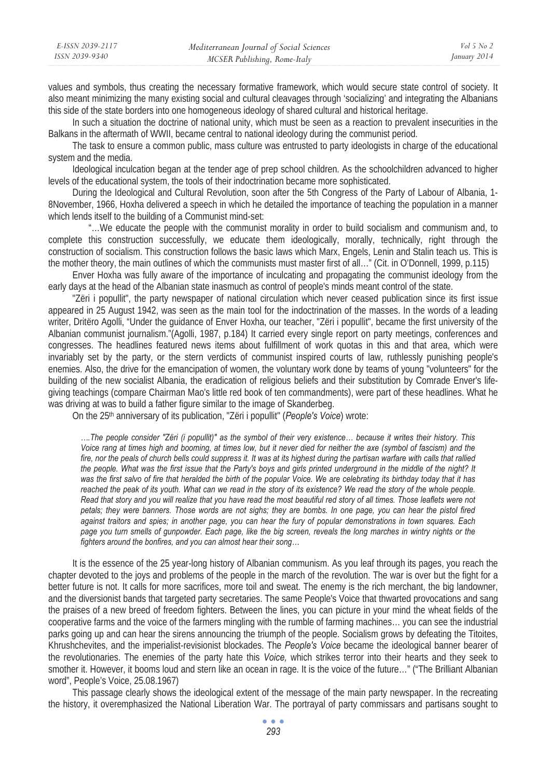values and symbols, thus creating the necessary formative framework, which would secure state control of society. It also meant minimizing the many existing social and cultural cleavages through 'socializing' and integrating the Albanians this side of the state borders into one homogeneous ideology of shared cultural and historical heritage.

In such a situation the doctrine of national unity, which must be seen as a reaction to prevalent insecurities in the Balkans in the aftermath of WWII, became central to national ideology during the communist period.

The task to ensure a common public, mass culture was entrusted to party ideologists in charge of the educational system and the media.

Ideological inculcation began at the tender age of prep school children. As the schoolchildren advanced to higher levels of the educational system, the tools of their indoctrination became more sophisticated.

During the Ideological and Cultural Revolution, soon after the 5th Congress of the Party of Labour of Albania, 1- 8November, 1966, Hoxha delivered a speech in which he detailed the importance of teaching the population in a manner which lends itself to the building of a Communist mind-set:

 "…We educate the people with the communist morality in order to build socialism and communism and, to complete this construction successfully, we educate them ideologically, morally, technically, right through the construction of socialism. This construction follows the basic laws which Marx, Engels, Lenin and Stalin teach us. This is the mother theory, the main outlines of which the communists must master first of all…" (Cit. in O'Donnell, 1999, p.115)

Enver Hoxha was fully aware of the importance of inculcating and propagating the communist ideology from the early days at the head of the Albanian state inasmuch as control of people's minds meant control of the state.

"Zëri i popullit", the party newspaper of national circulation which never ceased publication since its first issue appeared in 25 August 1942, was seen as the main tool for the indoctrination of the masses. In the words of a leading writer, Dritëro Agolli, "Under the guidance of Enver Hoxha, our teacher, "Zëri i popullit", became the first university of the Albanian communist journalism."(Agolli, 1987, p.184) It carried every single report on party meetings, conferences and congresses. The headlines featured news items about fulfillment of work quotas in this and that area, which were invariably set by the party, or the stern verdicts of communist inspired courts of law, ruthlessly punishing people's enemies. Also, the drive for the emancipation of women, the voluntary work done by teams of young "volunteers" for the building of the new socialist Albania, the eradication of religious beliefs and their substitution by Comrade Enver's lifegiving teachings (compare Chairman Mao's little red book of ten commandments), were part of these headlines. What he was driving at was to build a father figure similar to the image of Skanderbeg.

On the 25th anniversary of its publication, "Zëri i popullit" (*People's Voice*) wrote:

*….The people consider "Zëri (i popullit)" as the symbol of their very existence… because it writes their history. This Voice rang at times high and booming, at times low, but it never died for neither the axe (symbol of fascism) and the*  fire, nor the peals of church bells could suppress it. It was at its highest during the partisan warfare with calls that rallied *the people. What was the first issue that the Party's boys and girls printed underground in the middle of the night? It was the first salvo of fire that heralded the birth of the popular Voice. We are celebrating its birthday today that it has*  reached the peak of its youth. What can we read in the story of its existence? We read the story of the whole people. *Read that story and you will realize that you have read the most beautiful red story of all times. Those leaflets were not petals; they were banners. Those words are not sighs; they are bombs. In one page, you can hear the pistol fired against traitors and spies; in another page, you can hear the fury of popular demonstrations in town squares. Each*  page you turn smells of gunpowder. Each page, like the big screen, reveals the long marches in wintry nights or the *fighters around the bonfires, and you can almost hear their song…* 

It is the essence of the 25 year-long history of Albanian communism. As you leaf through its pages, you reach the chapter devoted to the joys and problems of the people in the march of the revolution. The war is over but the fight for a better future is not. It calls for more sacrifices, more toil and sweat. The enemy is the rich merchant, the big landowner, and the diversionist bands that targeted party secretaries. The same People's Voice that thwarted provocations and sang the praises of a new breed of freedom fighters. Between the lines, you can picture in your mind the wheat fields of the cooperative farms and the voice of the farmers mingling with the rumble of farming machines… you can see the industrial parks going up and can hear the sirens announcing the triumph of the people. Socialism grows by defeating the Titoites, Khrushchevites, and the imperialist-revisionist blockades. The *People's Voice* became the ideological banner bearer of the revolutionaries. The enemies of the party hate this *Voice,* which strikes terror into their hearts and they seek to smother it. However, it booms loud and stern like an ocean in rage. It is the voice of the future…" ("The Brilliant Albanian word", People's Voice, 25.08.1967)

This passage clearly shows the ideological extent of the message of the main party newspaper. In the recreating the history, it overemphasized the National Liberation War. The portrayal of party commissars and partisans sought to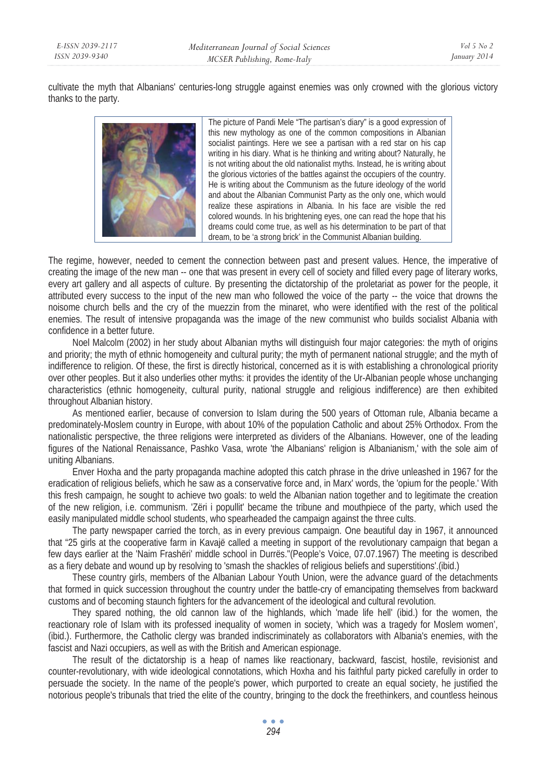cultivate the myth that Albanians' centuries-long struggle against enemies was only crowned with the glorious victory thanks to the party.



The picture of Pandi Mele "The partisan's diary" is a good expression of this new mythology as one of the common compositions in Albanian socialist paintings. Here we see a partisan with a red star on his cap writing in his diary. What is he thinking and writing about? Naturally, he is not writing about the old nationalist myths. Instead, he is writing about the glorious victories of the battles against the occupiers of the country. He is writing about the Communism as the future ideology of the world and about the Albanian Communist Party as the only one, which would realize these aspirations in Albania. In his face are visible the red colored wounds. In his brightening eyes, one can read the hope that his dreams could come true, as well as his determination to be part of that dream, to be 'a strong brick' in the Communist Albanian building.

The regime, however, needed to cement the connection between past and present values. Hence, the imperative of creating the image of the new man -- one that was present in every cell of society and filled every page of literary works, every art gallery and all aspects of culture. By presenting the dictatorship of the proletariat as power for the people, it attributed every success to the input of the new man who followed the voice of the party -- the voice that drowns the noisome church bells and the cry of the muezzin from the minaret, who were identified with the rest of the political enemies. The result of intensive propaganda was the image of the new communist who builds socialist Albania with confidence in a better future.

Noel Malcolm (2002) in her study about Albanian myths will distinguish four major categories: the myth of origins and priority; the myth of ethnic homogeneity and cultural purity; the myth of permanent national struggle; and the myth of indifference to religion. Of these, the first is directly historical, concerned as it is with establishing a chronological priority over other peoples. But it also underlies other myths: it provides the identity of the Ur-Albanian people whose unchanging characteristics (ethnic homogeneity, cultural purity, national struggle and religious indifference) are then exhibited throughout Albanian history.

As mentioned earlier, because of conversion to Islam during the 500 years of Ottoman rule, Albania became a predominately-Moslem country in Europe, with about 10% of the population Catholic and about 25% Orthodox. From the nationalistic perspective, the three religions were interpreted as dividers of the Albanians. However, one of the leading figures of the National Renaissance, Pashko Vasa, wrote 'the Albanians' religion is Albanianism,' with the sole aim of uniting Albanians.

Enver Hoxha and the party propaganda machine adopted this catch phrase in the drive unleashed in 1967 for the eradication of religious beliefs, which he saw as a conservative force and, in Marx' words, the 'opium for the people.' With this fresh campaign, he sought to achieve two goals: to weld the Albanian nation together and to legitimate the creation of the new religion, i.e. communism. 'Zëri i popullit' became the tribune and mouthpiece of the party, which used the easily manipulated middle school students, who spearheaded the campaign against the three cults.

The party newspaper carried the torch, as in every previous campaign. One beautiful day in 1967, it announced that "25 girls at the cooperative farm in Kavajë called a meeting in support of the revolutionary campaign that began a few days earlier at the 'Naim Frashëri' middle school in Durrës."(People's Voice, 07.07.1967) The meeting is described as a fiery debate and wound up by resolving to 'smash the shackles of religious beliefs and superstitions'.(ibid.)

These country girls, members of the Albanian Labour Youth Union, were the advance guard of the detachments that formed in quick succession throughout the country under the battle-cry of emancipating themselves from backward customs and of becoming staunch fighters for the advancement of the ideological and cultural revolution.

They spared nothing, the old cannon law of the highlands, which 'made life hell' (ibid.) for the women, the reactionary role of Islam with its professed inequality of women in society, 'which was a tragedy for Moslem women', (ibid.). Furthermore, the Catholic clergy was branded indiscriminately as collaborators with Albania's enemies, with the fascist and Nazi occupiers, as well as with the British and American espionage.

The result of the dictatorship is a heap of names like reactionary, backward, fascist, hostile, revisionist and counter-revolutionary, with wide ideological connotations, which Hoxha and his faithful party picked carefully in order to persuade the society. In the name of the people's power, which purported to create an equal society, he justified the notorious people's tribunals that tried the elite of the country, bringing to the dock the freethinkers, and countless heinous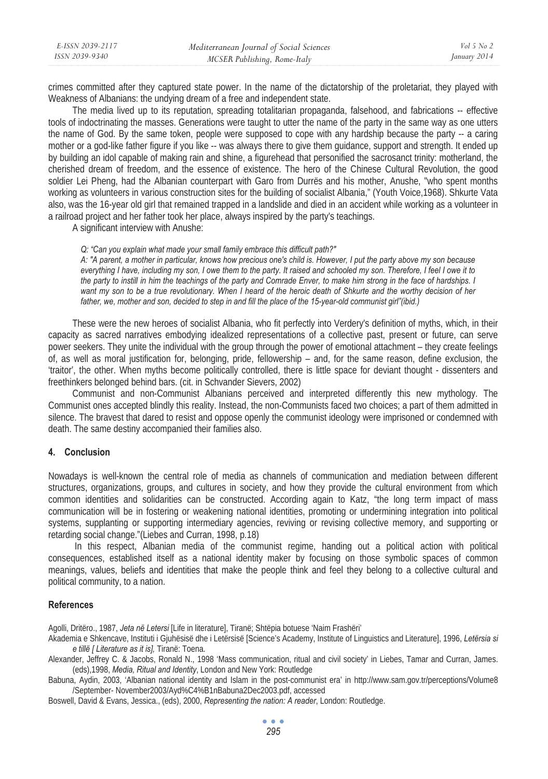crimes committed after they captured state power. In the name of the dictatorship of the proletariat, they played with Weakness of Albanians: the undying dream of a free and independent state.

The media lived up to its reputation, spreading totalitarian propaganda, falsehood, and fabrications -- effective tools of indoctrinating the masses. Generations were taught to utter the name of the party in the same way as one utters the name of God. By the same token, people were supposed to cope with any hardship because the party -- a caring mother or a god-like father figure if you like -- was always there to give them guidance, support and strength. It ended up by building an idol capable of making rain and shine, a figurehead that personified the sacrosanct trinity: motherland, the cherished dream of freedom, and the essence of existence. The hero of the Chinese Cultural Revolution, the good soldier Lei Pheng, had the Albanian counterpart with Garo from Durrës and his mother, Anushe, "who spent months working as volunteers in various construction sites for the building of socialist Albania," (Youth Voice,1968). Shkurte Vata also, was the 16-year old girl that remained trapped in a landslide and died in an accident while working as a volunteer in a railroad project and her father took her place, always inspired by the party's teachings.

A significant interview with Anushe:

*Q: "Can you explain what made your small family embrace this difficult path?"* 

*A: "A parent, a mother in particular, knows how precious one's child is. However, I put the party above my son because everything I have, including my son, I owe them to the party. It raised and schooled my son. Therefore, I feel I owe it to the party to instill in him the teachings of the party and Comrade Enver, to make him strong in the face of hardships. I*  want my son to be a true revolutionary. When I heard of the heroic death of Shkurte and the worthy decision of her father, we, mother and son, decided to step in and fill the place of the 15-year-old communist girl"(ibid.)

These were the new heroes of socialist Albania, who fit perfectly into Verdery's definition of myths, which, in their capacity as sacred narratives embodying idealized representations of a collective past, present or future, can serve power seekers. They unite the individual with the group through the power of emotional attachment – they create feelings of, as well as moral justification for, belonging, pride, fellowership – and, for the same reason, define exclusion, the 'traitor', the other. When myths become politically controlled, there is little space for deviant thought - dissenters and freethinkers belonged behind bars. (cit. in Schvander Sievers, 2002)

Communist and non-Communist Albanians perceived and interpreted differently this new mythology. The Communist ones accepted blindly this reality. Instead, the non-Communists faced two choices; a part of them admitted in silence. The bravest that dared to resist and oppose openly the communist ideology were imprisoned or condemned with death. The same destiny accompanied their families also.

# **4. Conclusion**

Nowadays is well-known the central role of media as channels of communication and mediation between different structures, organizations, groups, and cultures in society, and how they provide the cultural environment from which common identities and solidarities can be constructed. According again to Katz, "the long term impact of mass communication will be in fostering or weakening national identities, promoting or undermining integration into political systems, supplanting or supporting intermediary agencies, reviving or revising collective memory, and supporting or retarding social change."(Liebes and Curran, 1998, p.18)

 In this respect, Albanian media of the communist regime, handing out a political action with political consequences, established itself as a national identity maker by focusing on those symbolic spaces of common meanings, values, beliefs and identities that make the people think and feel they belong to a collective cultural and political community, to a nation.

### **References**

Agolli, Dritëro., 1987, *Jeta në Letersi* [Life in literature], Tiranë; Shtëpia botuese 'Naim Frashëri'

Akademia e Shkencave, Instituti i Gjuhësisë dhe i Letërsisë [Science's Academy, Institute of Linguistics and Literature], 1996, *Letërsia si e tillë [ Literature as it is],* Tiranë: Toena.

Alexander, Jeffrey C. & Jacobs, Ronald N., 1998 'Mass communication, ritual and civil society' in Liebes, Tamar and Curran, James. (eds),1998, *Media, Ritual and Identity*, London and New York: Routledge

Babuna, Aydin, 2003, 'Albanian national identity and Islam in the post-communist era' in http://www.sam.gov.tr/perceptions/Volume8 /September- November2003/Ayd%C4%B1nBabuna2Dec2003.pdf, accessed

Boswell, David & Evans, Jessica., (eds), 2000, *Representing the nation: A reader*, London: Routledge.